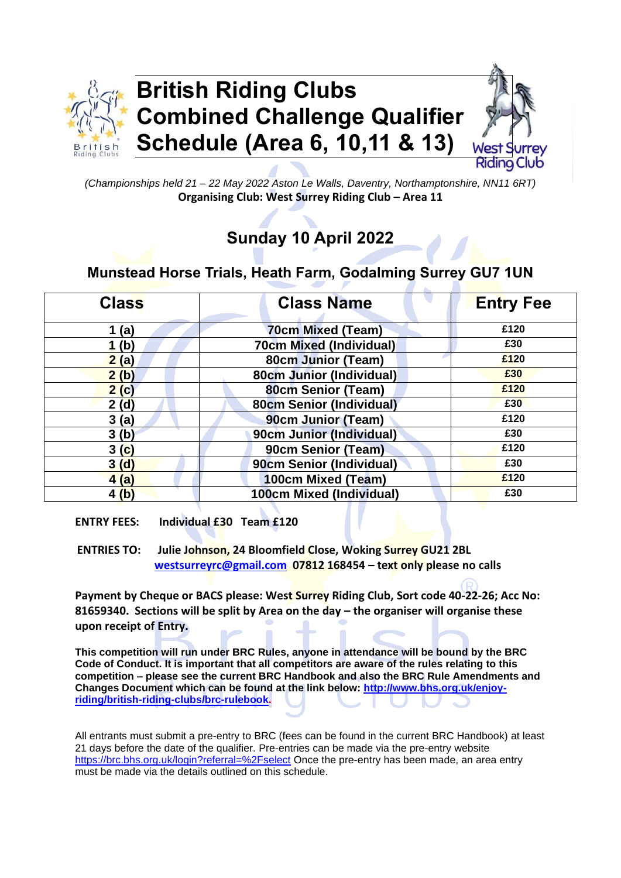

# **British Riding Clubs Combined Challenge Qualifier Schedule (Area 6, 10,11 & 13)**



*(Championships held 21 – 22 May 2022 Aston Le Walls, Daventry, Northamptonshire, NN11 6RT)* **Organising Club: West Surrey Riding Club – Area 11**

## **Sunday 10 April 2022**

## **Munstead Horse Trials, Heath Farm, Godalming Surrey GU7 1UN**

| <b>Class</b>     | <b>Class Name</b>               | <b>Entry Fee</b> |
|------------------|---------------------------------|------------------|
| 1(a)             | <b>70cm Mixed (Team)</b>        | £120             |
| 1 <sub>(b)</sub> | <b>70cm Mixed (Individual)</b>  | £30              |
| 2(a)             | 80cm Junior (Team)              | £120             |
| 2(b)             | 80cm Junior (Individual)        | £30              |
| 2(c)             | 80cm Senior (Team)              | £120             |
| 2(d)             | <b>80cm Senior (Individual)</b> | £30              |
| 3(a)             | 90cm Junior (Team)              | £120             |
| 3(b)             | 90cm Junior (Individual)        | £30              |
| 3(c)             | 90cm Senior (Team)              | £120             |
| 3(d)             | 90cm Senior (Individual)        | £30              |
| 4(a)             | 100cm Mixed (Team)              | £120             |
| 4(b)             | 100cm Mixed (Individual)        | £30              |

**ENTRY FEES: Individual £30 Team £120**

**ENTRIES TO: Julie Johnson, 24 Bloomfield Close, Woking Surrey GU21 2BL [westsurreyrc@gmail.com](mailto:westsurreyrc@gmail.com) 07812 168454 – text only please no calls**

**Payment by Cheque or BACS please: West Surrey Riding Club, Sort code 40-22-26; Acc No: 81659340. Sections will be split by Area on the day – the organiser will organise these upon receipt of Entry.**

**This competition will run under BRC Rules, anyone in attendance will be bound by the BRC Code of Conduct. It is important that all competitors are aware of the rules relating to this competition – please see the current BRC Handbook and also the BRC Rule Amendments and Changes Document which can be found at the link below: [http://www.bhs.org.uk/enjoy](http://www.bhs.org.uk/enjoy-riding/british-riding-clubs/brc-rulebook)[riding/british-riding-clubs/brc-rulebook.](http://www.bhs.org.uk/enjoy-riding/british-riding-clubs/brc-rulebook)**

All entrants must submit a pre-entry to BRC (fees can be found in the current BRC Handbook) at least 21 days before the date of the qualifier. Pre-entries can be made via the pre-entry website <https://brc.bhs.org.uk/login?referral=%2Fselect> Once the pre-entry has been made, an area entry must be made via the details outlined on this schedule.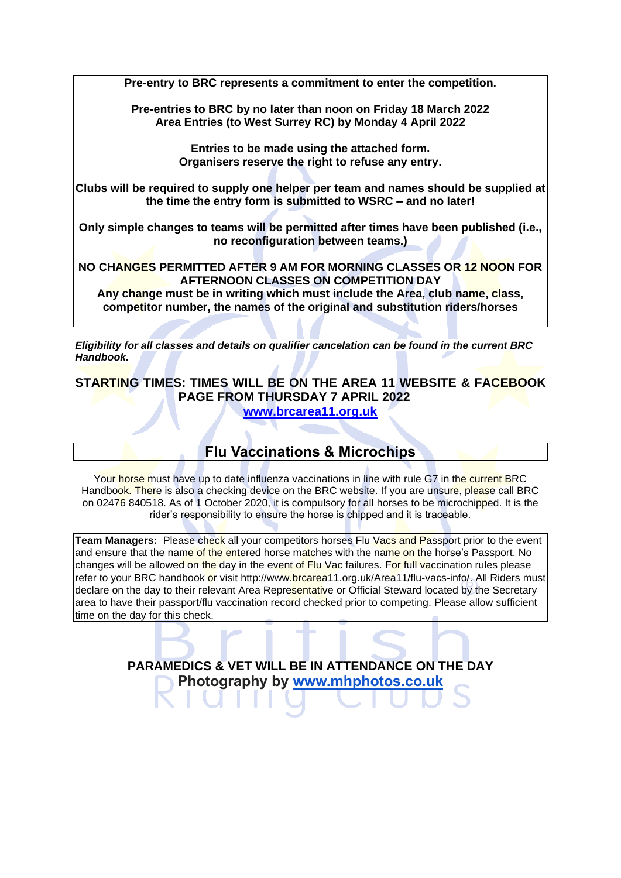**Pre-entry to BRC represents a commitment to enter the competition.** 

**Pre-entries to BRC by no later than noon on Friday 18 March 2022 Area Entries (to West Surrey RC) by Monday 4 April 2022**

> **Entries to be made using the attached form. Organisers reserve the right to refuse any entry.**

**Clubs will be required to supply one helper per team and names should be supplied at the time the entry form is submitted to WSRC – and no later!**

**Only simple changes to teams will be permitted after times have been published (i.e., no reconfiguration between teams.)**

**NO CHANGES PERMITTED AFTER 9 AM FOR MORNING CLASSES OR 12 NOON FOR AFTERNOON CLASSES ON COMPETITION DAY**

**Any change must be in writing which must include the Area, club name, class, competitor number, the names of the original and substitution riders/horses**

*Eligibility for all classes and details on qualifier cancelation can be found in the current BRC Handbook.*

**STARTING TIMES: TIMES WILL BE ON THE AREA 11 WEBSITE & FACEBOOK PAGE FROM THURSDAY 7 APRIL 2022 [www.brcarea11.org.uk](http://www.brcarea11.org.uk/)**

## **Flu Vaccinations & Microchips**

Your horse must have up to date influenza vaccinations in line with rule G7 in the current BRC Handbook. There is also a checking device on the BRC website. If you are unsure, please call BRC on 02476 840518. As of 1 October 2020, it is compulsory for all horses to be microchipped. It is the rider's responsibility to ensure the horse is chipped and it is traceable.

**Team Managers:** Please check all your competitors horses Flu Vacs and Passport prior to the event and ensure that the name of the entered horse matches with the name on the horse's Passport. No changes will be allowed on the day in the event of Flu Vac failures. For full vaccination rules please refer to your BRC handbook or visit [http://www.brcarea11.org.uk/Area11/flu-vacs-info/.](http://www.brcarea11.org.uk/Area11/flu-vacs-info/) All Riders must declare on the day to their relevant Area Representative or Official Steward located by the Secretary area to have their passport/flu vaccination record checked prior to competing. Please allow sufficient time on the day for this check.

> **PARAMEDICS & VET WILL BE IN ATTENDANCE ON THE DAY Photography by [www.mhphotos.co.uk](http://www.mhphotos.co.uk/)**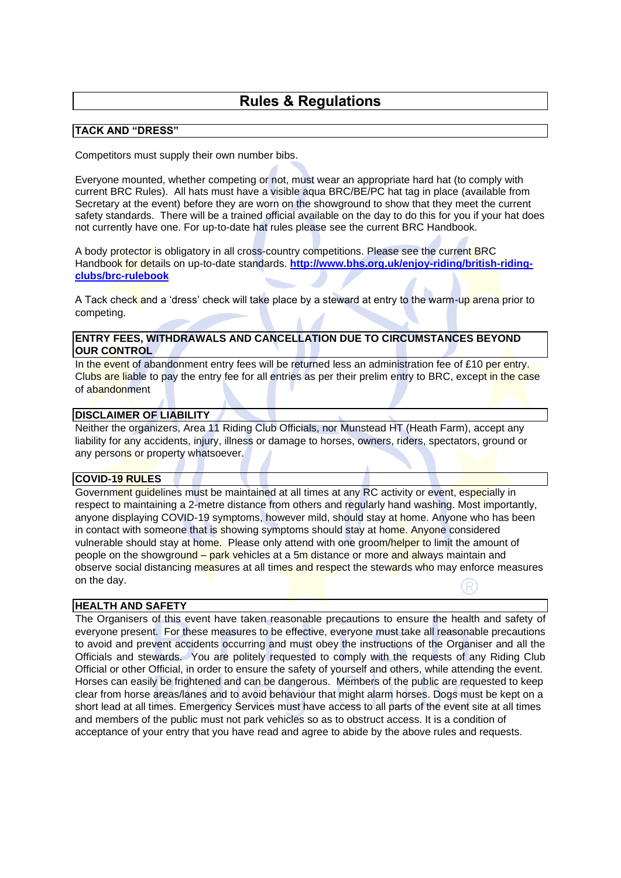### **Rules & Regulations**

#### **TACK AND "DRESS"**

Competitors must supply their own number bibs.

Everyone mounted, whether competing or not, must wear an appropriate hard hat (to comply with current BRC Rules). All hats must have a visible aqua BRC/BE/PC hat tag in place (available from Secretary at the event) before they are worn on the showground to show that they meet the current safety standards. There will be a trained official available on the day to do this for you if your hat does not currently have one. For up-to-date hat rules please see the current BRC Handbook.

A body protector is obligatory in all cross-country competitions. Please see the current BRC Handbook for details on up-to-date standards. **[http://www.bhs.org.uk/enjoy-riding/british-riding](http://www.bhs.org.uk/enjoy-riding/british-riding-clubs/brc-rulebook)[clubs/brc-rulebook](http://www.bhs.org.uk/enjoy-riding/british-riding-clubs/brc-rulebook)**

A Tack check and a 'dress' check will take place by a steward at entry to the warm-up arena prior to competing.

#### **ENTRY FEES, WITHDRAWALS AND CANCELLATION DUE TO CIRCUMSTANCES BEYOND OUR CONTROL**

In the event of abandonment entry fees will be returned less an administration fee of £10 per entry. Clubs are liable to pay the entry fee for all entries as per their prelim entry to BRC, except in the case of abandonment

#### **DISCLAIMER OF LIABILITY**

Neither the organizers, Area 11 Riding Club Officials, nor Munstead HT (Heath Farm), accept any liability for any accidents, injury, illness or damage to horses, owners, riders, spectators, ground or any persons or property whatsoever.

#### **COVID-19 RULES**

Government guidelines must be maintained at all times at any RC activity or event, especially in respect to maintaining a 2-metre distance from others and regularly hand washing. Most importantly, anyone displaying COVID-19 symptoms, however mild, should stay at home. Anyone who has been in contact with someone that is showing symptoms should stay at home. Anyone considered vulnerable should stay at home. Please only attend with one groom/helper to limit the amount of people on the showground – park vehicles at a 5m distance or more and always maintain and observe social distancing measures at all times and respect the stewards who may enforce measures on the day.

#### **HEALTH AND SAFETY**

The Organisers of this event have taken reasonable precautions to ensure the health and safety of everyone present. For these measures to be effective, everyone must take all reasonable precautions to avoid and prevent accidents occurring and must obey the instructions of the Organiser and all the Officials and stewards. You are politely requested to comply with the requests of any Riding Club Official or other Official, in order to ensure the safety of yourself and others, while attending the event. Horses can easily be frightened and can be dangerous. Members of the public are requested to keep clear from horse areas/lanes and to avoid behaviour that might alarm horses. Dogs must be kept on a short lead at all times. Emergency Services must have access to all parts of the event site at all times and members of the public must not park vehicles so as to obstruct access. It is a condition of acceptance of your entry that you have read and agree to abide by the above rules and requests.